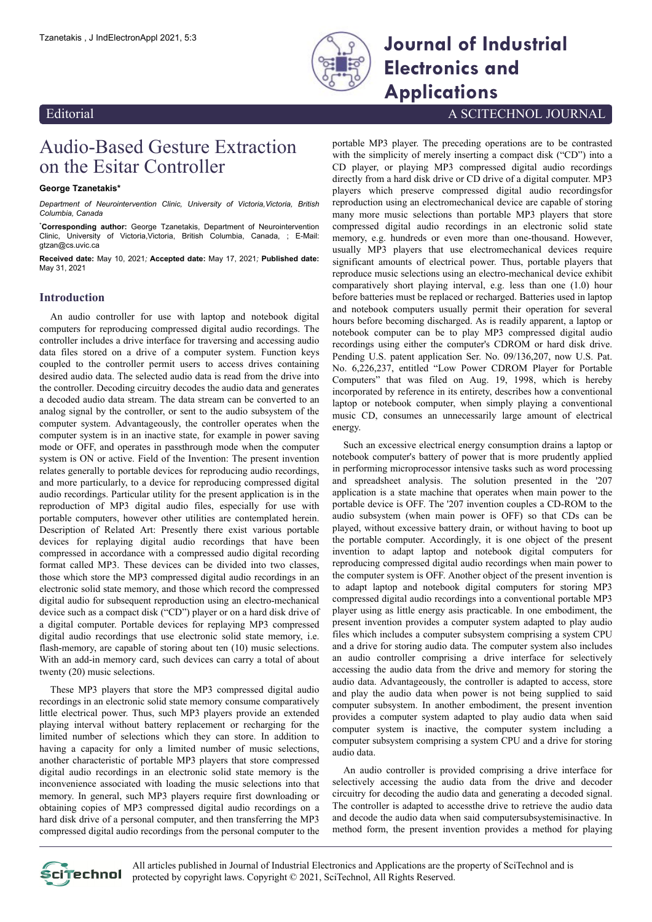

# Tzanetakis , J IndElectronAppl 2021, 5:3 **Journal of Industrial Electronics and Applications**

### Editorial A SCITECHNOL JOURNAL

## Audio-Based Gesture Extraction on the Esitar Controller

#### **George Tzanetakis\***

Department of Neurointervention Clinic, University of Victoria, Victoria, British *Columbia, Canada*

\***Corresponding author:** George Tzanetakis, Department of Neurointervention Clinic, University of Victoria, Victoria, British Columbia, Canada, ; E-Mail: gtzan@cs.uvic.ca

**Received date:** May 10, 2021*;* **Accepted date:** May 17, 2021*;* **Published date:** May 31, 2021

### **Introduction**

An audio controller for use with laptop and notebook digital computers for reproducing compressed digital audio recordings. The controller includes a drive interface for traversing and accessing audio data files stored on a drive of a computer system. Function keys coupled to the controller permit users to access drives containing desired audio data. The selected audio data is read from the drive into the controller. Decoding circuitry decodes the audio data and generates a decoded audio data stream. The data stream can be converted to an analog signal by the controller, or sent to the audio subsystem of the computer system. Advantageously, the controller operates when the computer system is in an inactive state, for example in power saving mode or OFF, and operates in passthrough mode when the computer system is ON or active. Field of the Invention: The present invention relates generally to portable devices for reproducing audio recordings, and more particularly, to a device for reproducing compressed digital audio recordings. Particular utility for the present application is in the reproduction of MP3 digital audio files, especially for use with portable computers, however other utilities are contemplated herein. Description of Related Art: Presently there exist various portable devices for replaying digital audio recordings that have been compressed in accordance with a compressed audio digital recording format called MP3. These devices can be divided into two classes, those which store the MP3 compressed digital audio recordings in an electronic solid state memory, and those which record the compressed digital audio for subsequent reproduction using an electro-mechanical device such as a compact disk ("CD") player or on a hard disk drive of a digital computer. Portable devices for replaying MP3 compressed digital audio recordings that use electronic solid state memory, i.e. flash-memory, are capable of storing about ten (10) music selections. With an add-in memory card, such devices can carry a total of about twenty (20) music selections.

These MP3 players that store the MP3 compressed digital audio recordings in an electronic solid state memory consume comparatively little electrical power. Thus, such MP3 players provide an extended playing interval without battery replacement or recharging for the limited number of selections which they can store. In addition to having a capacity for only a limited number of music selections, another characteristic of portable MP3 players that store compressed digital audio recordings in an electronic solid state memory is the inconvenience associated with loading the music selections into that memory. In general, such MP3 players require first downloading or obtaining copies of MP3 compressed digital audio recordings on a hard disk drive of a personal computer, and then transferring the MP3 compressed digital audio recordings from the personal computer to the

portable MP3 player. The preceding operations are to be contrasted with the simplicity of merely inserting a compact disk ("CD") into a CD player, or playing MP3 compressed digital audio recordings directly from a hard disk drive or CD drive of a digital computer. MP3 players which preserve compressed digital audio recordingsfor reproduction using an electromechanical device are capable of storing many more music selections than portable MP3 players that store compressed digital audio recordings in an electronic solid state memory, e.g. hundreds or even more than one-thousand. However, usually MP3 players that use electromechanical devices require significant amounts of electrical power. Thus, portable players that reproduce music selections using an electro-mechanical device exhibit comparatively short playing interval, e.g. less than one (1.0) hour before batteries must be replaced or recharged. Batteries used in laptop and notebook computers usually permit their operation for several hours before becoming discharged. As is readily apparent, a laptop or notebook computer can be to play MP3 compressed digital audio recordings using either the computer's CDROM or hard disk drive. Pending U.S. patent application Ser. No. 09/136,207, now U.S. Pat. No. 6,226,237, entitled "Low Power CDROM Player for Portable Computers" that was filed on Aug. 19, 1998, which is hereby incorporated by reference in its entirety, describes how a conventional laptop or notebook computer, when simply playing a conventional music CD, consumes an unnecessarily large amount of electrical energy.

Such an excessive electrical energy consumption drains a laptop or notebook computer's battery of power that is more prudently applied in performing microprocessor intensive tasks such as word processing and spreadsheet analysis. The solution presented in the '207 application is a state machine that operates when main power to the portable device is OFF. The '207 invention couples a CD-ROM to the audio subsystem (when main power is OFF) so that CDs can be played, without excessive battery drain, or without having to boot up the portable computer. Accordingly, it is one object of the present invention to adapt laptop and notebook digital computers for reproducing compressed digital audio recordings when main power to the computer system is OFF. Another object of the present invention is to adapt laptop and notebook digital computers for storing MP3 compressed digital audio recordings into a conventional portable MP3 player using as little energy asis practicable. In one embodiment, the present invention provides a computer system adapted to play audio files which includes a computer subsystem comprising a system CPU and a drive for storing audio data. The computer system also includes an audio controller comprising a drive interface for selectively accessing the audio data from the drive and memory for storing the audio data. Advantageously, the controller is adapted to access, store and play the audio data when power is not being supplied to said computer subsystem. In another embodiment, the present invention provides a computer system adapted to play audio data when said computer system is inactive, the computer system including a computer subsystem comprising a system CPU and a drive for storing audio data.

An audio controller is provided comprising a drive interface for selectively accessing the audio data from the drive and decoder circuitry for decoding the audio data and generating a decoded signal. The controller is adapted to accessthe drive to retrieve the audio data and decode the audio data when said computersubsystemisinactive. In method form, the present invention provides a method for playing



All articles published in Journal of Industrial Electronics and Applications are the property of SciTechnol and is **CITECHNOL** protected by copyright laws. Copyright © 2021, SciTechnol, All Rights Reserved.